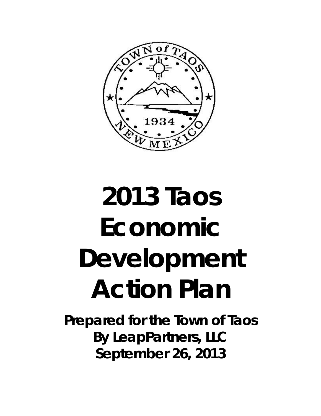

# **2013 Taos Economic Development Action Plan**

**Prepared for the Town of Taos By LeapPartners, LLC September 26, 2013**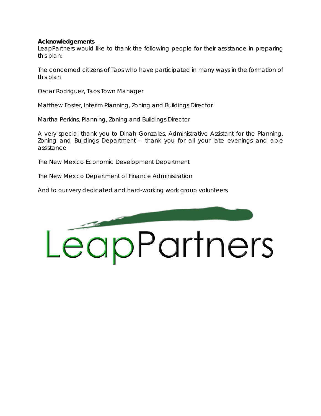#### **Acknowledgements**

LeapPartners would like to thank the following people for their assistance in preparing this plan:

The concerned citizens of Taos who have participated in many ways in the formation of this plan

Oscar Rodriguez, Taos Town Manager

Matthew Foster, Interim Planning, Zoning and Buildings Director

Martha Perkins, Planning, Zoning and Buildings Director

A very special thank you to Dinah Gonzales, Administrative Assistant for the Planning, Zoning and Buildings Department – thank you for all your late evenings and able assistance

The New Mexico Economic Development Department

The New Mexico Department of Finance Administration

And to our very dedicated and hard-working work group volunteers

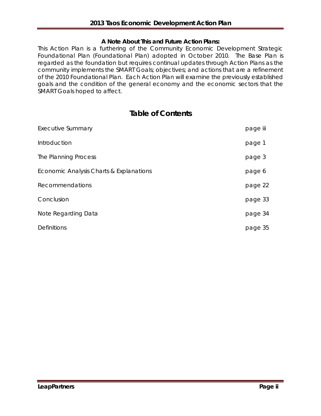## **A Note About This and Future Action Plans:**

This Action Plan is a furthering of the Community Economic Development Strategic Foundational Plan (Foundational Plan) adopted in October 2010. The Base Plan is regarded as the foundation but requires continual updates through Action Plans as the community implements the SMART Goals; objectives; and actions that are a refinement of the 2010 Foundational Plan. Each Action Plan will examine the previously established goals and the condition of the general economy and the economic sectors that the SMART Goals hoped to affect.

# **Table of Contents**

| <b>Executive Summary</b>                | page iii |
|-----------------------------------------|----------|
| Introduction                            | page 1   |
| The Planning Process                    | page 3   |
| Economic Analysis Charts & Explanations | page 6   |
| <b>Recommendations</b>                  | page 22  |
| Conclusion                              | page 33  |
| Note Regarding Data                     | page 34  |
| <b>Definitions</b>                      | page 35  |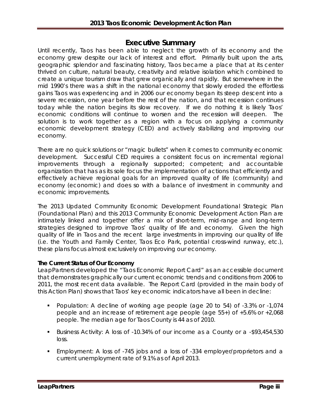# **Executive Summary**

Until recently, Taos has been able to neglect the growth of its economy and the economy grew despite our lack of interest and effort. Primarily built upon the arts, geographic splendor and fascinating history, Taos became a place that at its center thrived on culture, natural beauty, creativity and relative isolation which combined to create a unique tourism draw that grew organically and rapidly. But somewhere in the mid 1990's there was a shift in the national economy that slowly eroded the effortless gains Taos was experiencing and in 2006 our economy began its steep descent into a severe recession, one year before the rest of the nation, and that recession continues today while the nation begins its slow recovery. If we do nothing it is likely Taos' economic conditions will continue to worsen and the recession will deepen. The solution is to work together as a region with a focus on applying a community economic development strategy (CED) and actively stabilizing and improving our economy.

There are no quick solutions or "magic bullets" when it comes to community economic development. Successful CED requires a consistent focus on incremental regional improvements through a regionally supported; competent; and accountable organization that has as its sole focus the implementation of actions that efficiently and effectively achieve regional goals for an improved quality of life (community) and economy (economic) and does so with a balance of investment in community and economic improvements.

The 2013 Updated Community Economic Development Foundational Strategic Plan (Foundational Plan) and this 2013 Community Economic Development Action Plan are intimately linked and together offer a mix of short-term, mid-range and long-term strategies designed to improve Taos' quality of life and economy. Given the high quality of life in Taos and the recent large investments in improving our quality of life (i.e. the Youth and Family Center, Taos Eco Park, potential cross-wind runway, etc.), these plans focus almost exclusively on improving our economy.

#### **The Current Status of Our Economy**

LeapPartners developed the "Taos Economic Report Card" as an accessible document that demonstrates graphically our current economic trends and conditions from 2006 to 2011, the most recent data available. The Report Card (provided in the main body of this Action Plan) shows that Taos' key economic indicators have all been in decline:

- Population: A decline of working age people (age 20 to 54) of -3.3% or -1,074 people and an increase of retirement age people (age 55+) of +5.6% or +2,068 people. The median age for Taos County is 44 as of 2010.
- Business Activity: A loss of -10.34% of our income as a County or a -\$93,454,530 loss.
- Employment: A loss of -745 jobs and a loss of -334 employer/proprietors and a current unemployment rate of 9.1% as of April 2013.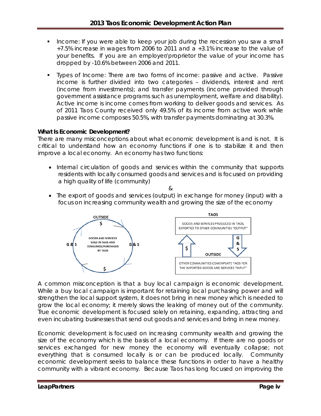- Income: If you were able to keep your job during the recession you saw a small +7.5% increase in wages from 2006 to 2011 and a +3.1% increase to the value of your benefits. If you are an employer/proprietor the value of your income has dropped by -10.6% between 2006 and 2011.
- Types of Income: There are two forms of income: passive and active. Passive income is further divided into two categories – dividends, interest and rent (income from investments); and transfer payments (income provided through government assistance programs such as unemployment, welfare and disability). Active income is income comes from working to deliver goods and services. As of 2011 Taos County received only 49.5% of its income from active work while passive income composes 50.5%, with transfer payments dominating at 30.3%.

#### **What Is Economic Development?**

There are many misconceptions about what economic development is and is not. It is critical to understand how an economy functions if one is to stabilize it and then improve a local economy. An economy has two functions:

• Internal circulation of goods and services within the community that supports residents with locally consumed goods and services and is focused on providing a high quality of life (community)

 $\kappa$ 

• The export of goods and services (output) in exchange for money (input) with a focus on increasing community wealth and growing the size of the economy



A common misconception is that a buy local campaign is economic development. While a buy local campaign is important for retaining local purchasing power and will strengthen the local support system, it does not bring in new money which is needed to grow the local economy; it merely slows the leaking of money out of the community. True economic development is focused solely on retaining, expanding, attracting and even incubating businesses that send out goods and services and bring in new money.

Economic development is focused on increasing community wealth and growing the size of the economy which is the basis of a local economy. If there are no goods or services exchanged for new money the economy will eventually collapse; not everything that is consumed locally is or can be produced locally. Community economic development seeks to balance these functions in order to have a healthy community with a vibrant economy. Because Taos has long focused on improving the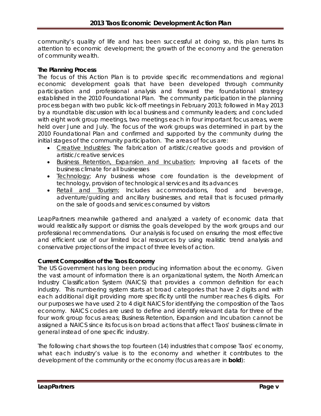community's quality of life and has been successful at doing so, this plan turns its attention to economic development; the growth of the economy and the generation of community wealth.

#### **The Planning Process**

The focus of this Action Plan is to provide specific recommendations and regional economic development goals that have been developed through community participation and professional analysis and forward the foundational strategy established in the 2010 Foundational Plan. The community participation in the planning process began with two public kick-off meetings in February 2013; followed in May 2013 by a roundtable discussion with local business and community leaders; and concluded with eight work group meetings, two meetings each in four important focus areas, were held over June and July. The focus of the work groups was determined in part by the 2010 Foundational Plan and confirmed and supported by the community during the initial stages of the community participation. The areas of focus are:

- *Creative Industries*; The fabrication of artistic/creative goods and provision of artistic/creative services
- *Business Retention, Expansion and Incubation*; Improving all facets of the business climate for all businesses
- *Technology*; Any business whose core foundation is the development of technology, provision of technological services and its advances
- *Retail and Tourism*; Includes accommodations, food and beverage, adventure/guiding and ancillary businesses, and retail that is focused primarily on the sale of goods and services consumed by visitors

LeapPartners meanwhile gathered and analyzed a variety of economic data that would realistically support or dismiss the goals developed by the work groups and our professional recommendations. Our analysis is focused on ensuring the most effective and efficient use of our limited local resources by using realistic trend analysis and conservative projections of the impact of three levels of action.

#### **Current Composition of the Taos Economy**

The US Government has long been producing information about the economy. Given the vast amount of information there is an organizational system, the North American Industry Classification System (NAICS) that provides a common definition for each industry. This numbering system starts at broad categories that have 2 digits and with each additional digit providing more specificity until the number reaches 6 digits. For our purposes we have used 2 to 4 digit NAICS for identifying the composition of the Taos economy. NAICS codes are used to define and identify relevant data for three of the four work group focus areas; Business Retention, Expansion and Incubation cannot be assigned a NAICS since its focus is on broad actions that affect Taos' business climate in general instead of one specific industry.

The following chart shows the top fourteen (14) industries that compose Taos' economy, what each industry's value is to the economy and whether it contributes to the development of the community or the economy (focus areas are in **bold**):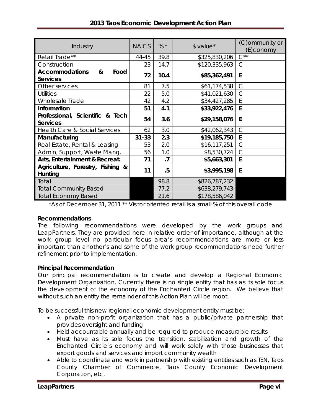| Industry                                              | <b>NAICS</b> | $%$ *   | $$$ value*    | (C) ommunity or<br>(E)conomy |
|-------------------------------------------------------|--------------|---------|---------------|------------------------------|
| Retail Trade**                                        | 44-45        | 39.8    | \$325,830,206 | $C^{\star\star}$             |
| Construction                                          | 23           | 14.7    | \$120,335,963 | C                            |
| <b>Accommodations</b><br>&<br>Food<br><b>Services</b> | 72           | 10.4    | \$85,362,491  | E                            |
| Other services                                        | 81           | 7.5     | \$61,174,538  | $\mathcal{C}$                |
| Utilities                                             | 22           | 5.0     | \$41,021,630  | $\mathsf{C}$                 |
| Wholesale Trade                                       | 42           | 4.2     | \$34,427,285  | E                            |
| Information                                           | 51           | 4.1     | \$33,922,476  | E                            |
| Professional, Scientific & Tech<br><b>Services</b>    | 54           | 3.6     | \$29,158,076  | E                            |
| Health Care & Social Services                         | 62           | 3.0     | \$42,062,343  | $\mathcal{C}$                |
| Manufacturing                                         | $31 - 33$    | 2.3     | \$19,185,750  | E                            |
| Real Estate, Rental & Leasing                         | 53           | 2.0     | \$16,117,251  | $\mathsf{C}$                 |
| Admin, Support, Waste Mang.                           | 56           | 1.0     | \$8,530,724   | $\mathcal{C}$                |
| Arts, Entertainment & Recreat.                        | 71           | $\cdot$ | \$5,663,301   | E                            |
| Agriculture, Forestry, Fishing &<br>Hunting           | 11           | .5      | \$3,995,198   | E                            |
| Total                                                 |              | 98.8    | \$826,787,232 |                              |
| <b>Total Community Based</b>                          |              | 77.2    | \$638,279,743 |                              |
| <b>Total Economy Based</b>                            |              | 21.6    | \$178,586,042 |                              |

# **2013 Taos Economic Development Action Plan**

\*As of December 31, 2011 \*\* Visitor oriented retail is a small % of this overall code

#### **Recommendations**

The following recommendations were developed by the work groups and LeapPartners. They are provided here in relative order of importance, although at the work group level no particular focus area's recommendations are more or less important than another's and some of the work group recommendations need further refinement prior to implementation.

#### **Principal Recommendation**

Our *principal* recommendation is to create and develop a *Regional Economic Development Organization*. Currently there is no single entity that has as its sole focus the development of the economy of the Enchanted Circle region. We believe that without such an entity the remainder of this Action Plan will be moot.

To be successful this new regional economic development entity must be:

- A private non-profit organization that has a public/private partnership that provides oversight and funding
- Held accountable annually and be required to produce measurable results
- Must have as its sole focus the transition, stabilization and growth of the Enchanted Circle's economy and will work solely with those businesses that export goods and services and import community wealth
- Able to coordinate and work in partnership with existing entities such as TEN, Taos County Chamber of Commerce, Taos County Economic Development Corporation, etc.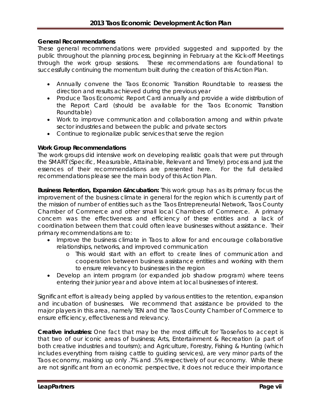#### **General Recommendations**

These general recommendations were provided suggested and supported by the public throughout the planning process, beginning in February at the Kick-off Meetings through the work group sessions. These recommendations are foundational to successfully continuing the momentum built during the creation of this Action Plan.

- Annually convene the Taos Economic Transition Roundtable to reassess the direction and results achieved during the previous year
- Produce Taos Economic Report Card annually and provide a wide distribution of the Report Card (should be available for the Taos Economic Transition Roundtable)
- Work to improve communication and collaboration among and within private sector industries and between the public and private sectors
- Continue to regionalize public services that serve the region

#### **Work Group Recommendations**

The work groups did intensive work on developing realistic goals that were put through the SMART (Specific, Measurable, Attainable, Relevant and Timely) process and just the essences of their recommendations are presented here. For the full detailed recommendations please see the main body of this Action Plan.

**Business Retention, Expansion &Incubation:** This work group has as its primary focus the improvement of the business climate in general for the region which is currently part of the mission of number of entities such as the Taos Entrepreneurial Network, Taos County Chamber of Commerce and other small local Chambers of Commerce. A primary concern was the effectiveness and efficiency of these entities and a lack of coordination between them that could often leave businesses without assistance. Their primary recommendations are to:

- Improve the business climate in Taos to allow for and encourage collaborative relationships, networks, and improved communication
	- o This would start with an effort to create lines of communication and cooperation between business assistance entities and working with them to ensure relevancy to businesses in the region
- Develop an intern program (or expanded job shadow program) where teens entering their junior year and above intern at local businesses of interest.

Significant effort is already being applied by various entities to the retention, expansion and incubation of businesses. We recommend that assistance be provided to the major players in this area, namely TEN and the Taos County Chamber of Commerce to ensure efficiency, effectiveness and relevancy.

**Creative industries:** One fact that may be the most difficult for Taoseños to accept is that two of our iconic areas of business; Arts, Entertainment & Recreation (a part of both creative industries and tourism); and Agriculture, Forestry, Fishing & Hunting (which includes everything from raising cattle to guiding services), are very minor parts of the Taos economy, making up only .7% and .5% respectively of our economy. While these are not significant from an economic perspective, it does not reduce their importance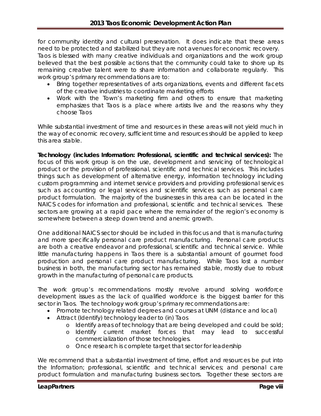for community identity and cultural preservation. It does indicate that these areas need to be protected and stabilized but they are not avenues for economic recovery. Taos is blessed with many creative individuals and organizations and the work group believed that the best possible actions that the community could take to shore up its remaining creative talent were to share information and collaborate regularly. This work group's primary recommendations are to:

- Bring together representatives of arts organizations, events and different facets of the creative industries to coordinate marketing efforts
- Work with the Town's marketing firm and others to ensure that marketing emphasizes that Taos is a place where artists live and the reasons why they choose Taos

While substantial investment of time and resources in these areas will not yield much in the way of economic recovery, sufficient time and resources should be applied to keep this area stable.

**Technology (includes Information: Professional, scientific and technical services):** The focus of this work group is on the use, development and servicing of technological product or the provision of professional, scientific and technical services. This includes things such as development of alternative energy, information technology including custom programming and internet service providers and providing professional services such as accounting or legal services and scientific services such as personal care product formulation. The majority of the businesses in this area can be located in the NAICS codes for information and professional, scientific and technical services. These sectors are growing at a rapid pace where the remainder of the region's economy is somewhere between a steep down trend and anemic growth.

One additional NAICS sector should be included in this focus and that is manufacturing and more specifically personal care product manufacturing. Personal care products are both a creative endeavor and professional, scientific and technical service. While little manufacturing happens in Taos there is a substantial amount of gourmet food production and personal care product manufacturing. While Taos lost a number business in both, the manufacturing sector has remained stable, mostly due to robust growth in the manufacturing of personal care products.

The work group's recommendations mostly revolve around solving workforce development issues as the lack of qualified workforce is the biggest barrier for this sector in Taos. The technology work group's primary recommendations are:

- Promote technology related degrees and courses at UNM (distance and local)
- Attract (Identify) technology leader to (in) Taos
	- o Identify areas of technology that are being developed and could be sold;
	- o Identify current market forces that may lead to successful commercialization of those technologies.
	- o Once research is complete target that sector for leadership

We recommend that a substantial investment of time, effort and resources be put into the Information; professional, scientific and technical services; and personal care product formulation and manufacturing business sectors. Together these sectors are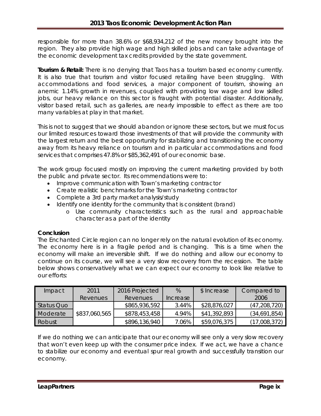responsible for more than 38.6% or \$68,934,212 of the new money brought into the region. They also provide high wage and high skilled jobs and can take advantage of the economic development tax credits provided by the state government.

**Tourism & Retail:** There is no denying that Taos has a tourism based economy currently. It is also true that tourism and visitor focused retailing have been struggling. With accommodations and food services, a major component of tourism, showing an anemic 1.14% growth in revenues, coupled with providing low wage and low skilled jobs, our heavy reliance on this sector is fraught with potential disaster. Additionally, visitor based retail, such as galleries, are nearly impossible to effect as there are too many variables at play in that market.

This is not to suggest that we should abandon or ignore these sectors, but we must focus our limited resources toward those investments of that will provide the community with the largest return and the best opportunity for stabilizing and transitioning the economy away from its heavy reliance on tourism and in particular accommodations and food services that comprises 47.8% or \$85,362,491 of our economic base.

The work group focused mostly on improving the current marketing provided by both the public and private sector. Its recommendations were to:

- Improve communication with Town's marketing contractor
- Create realistic benchmarks for the Town's marketing contractor
- Complete a 3rd party market analysis/study
- Identify one identity for the community that is consistent (brand)
	- o Use community characteristics such as the rural and approachable character as a part of the identity

#### **Conclusion**

The Enchanted Circle region can no longer rely on the natural evolution of its economy. The economy here is in a fragile period and is changing. This is a time when the economy will make an irreversible shift. If we do nothing and allow our economy to continue on its course, we will see a very slow recovery from the recession. The table below shows conservatively what we can expect our economy to look like relative to our efforts:

| Impact     | 2011          | 2016 Projected  | %        | \$ Increase  | Compared to    |
|------------|---------------|-----------------|----------|--------------|----------------|
|            | Revenues      | <b>Revenues</b> | Increase |              | 2006           |
| Status Quo |               | \$865,936,592   | 3.44%    | \$28,876,027 | (47, 208, 720) |
| Moderate   | \$837,060,565 | \$878,453,458   | 4.94%    | \$41,392,893 | (34,691,854)   |
| Robust     |               | \$896,136,940   | 7.06%    | \$59,076,375 | (17,008,372)   |

If we do nothing we can anticipate that our economy will see only a very slow recovery that won't even keep up with the consumer price index. If we act, we have a chance to stabilize our economy and eventual spur real growth and successfully transition our economy.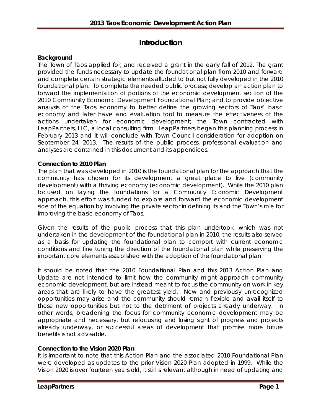# **Introduction**

#### **Background**

The Town of Taos applied for, and received a grant in the early fall of 2012. The grant provided the funds necessary to update the foundational plan from 2010 and forward and complete certain strategic elements alluded to but not fully developed in the 2010 foundational plan. To complete the needed public process; develop an action plan to forward the implementation of portions of the economic development section of the 2010 Community Economic Development Foundational Plan; and to provide objective analysis of the Taos economy to better define the growing sectors of Taos' basic economy and later have and evaluation tool to measure the effectiveness of the actions undertaken for economic development; the Town contracted with LeapPartners, LLC, a local consulting firm. LeapPartners began this planning process in February 2013 and it will conclude with Town Council consideration for adoption on September 24, 2013. The results of the public process, professional evaluation and analyses are contained in this document and its appendices.

#### **Connection to 2010 Plan**

The plan that was developed in 2010 is the foundational plan for the approach that the community has chosen for its development a great place to live (community development) with a thriving economy (economic development). While the 2010 plan focused on laying the foundations for a Community Economic Development approach, this effort was funded to explore and forward the economic development side of the equation by involving the private sector in defining its and the Town's role for improving the basic economy of Taos.

Given the results of the public process that this plan undertook, which was not undertaken in the development of the foundational plan in 2010, the results also served as a basis for updating the foundational plan to comport with current economic conditions and fine tuning the direction of the foundational plan while preserving the important core elements established with the adoption of the foundational plan.

It should be noted that the 2010 Foundational Plan and this 2013 Action Plan and Update are not intended to limit how the community might approach community economic development, but are instead meant to focus the community on work in key areas that are likely to have the greatest yield. New and previously unrecognized opportunities may arise and the community should remain flexible and avail itself to those new opportunities but not to the detriment of projects already underway. In other words, broadening the focus for community economic development may be appropriate and necessary, but refocusing and losing sight of progress and projects already underway, or successful areas of development that promise more future benefits is not advisable.

#### **Connection to the Vision 2020 Plan**

It is important to note that this Action Plan and the associated 2010 Foundational Plan were developed as updates to the prior Vision 2020 Plan adopted in 1999. While the Vision 2020 is over fourteen years old, it still is relevant although in need of updating and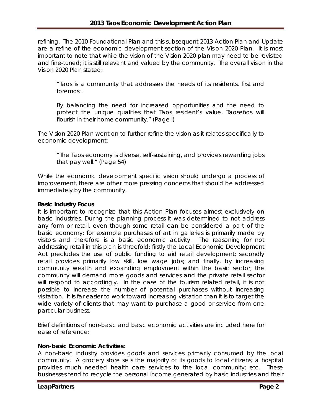refining. The 2010 Foundational Plan and this subsequent 2013 Action Plan and Update are a refine of the economic development section of the Vision 2020 Plan. It is most important to note that while the vision of the Vision 2020 plan may need to be revisited and fine-tuned; it is still relevant and valued by the community. The overall vision in the Vision 2020 Plan stated:

"Taos is a community that addresses the needs of its residents, first and foremost.

By balancing the need for increased opportunities and the need to protect the unique qualities that Taos resident's value, Taoseños will flourish in their home community." (Page i)

The Vision 2020 Plan went on to further refine the vision as it relates specifically to economic development:

"The Taos economy is diverse, self-sustaining, and provides rewarding jobs that pay well." (Page 54)

While the economic development specific vision should undergo a process of improvement, there are other more pressing concerns that should be addressed immediately by the community.

#### **Basic Industry Focus**

It is important to recognize that this Action Plan focuses almost exclusively on basic industries. During the planning process it was determined to not address any form or retail, even though some retail can be considered a part of the basic economy; for example purchases of art in galleries is primarily made by visitors and therefore is a basic economic activity. The reasoning for not addressing retail in this plan is threefold: firstly the Local Economic Development Act precludes the use of public funding to aid retail development; secondly retail provides primarily low skill, low wage jobs; and finally, by increasing community wealth and expanding employment within the basic sector, the community will demand more goods and services and the private retail sector will respond to accordingly. In the case of the tourism related retail, it is not possible to increase the number of potential purchases without increasing visitation. It is far easier to work toward increasing visitation than it is to target the wide variety of clients that may want to purchase a good or service from one particular business.

Brief definitions of non-basic and basic economic activities are included here for ease of reference:

#### *Non-basic Economic Activities:*

A non-basic industry provides goods and services primarily consumed by the local community. A grocery store sells the majority of its goods to local citizens; a hospital provides much needed health care services to the local community; etc. These businesses tend to recycle the personal income generated by basic industries and their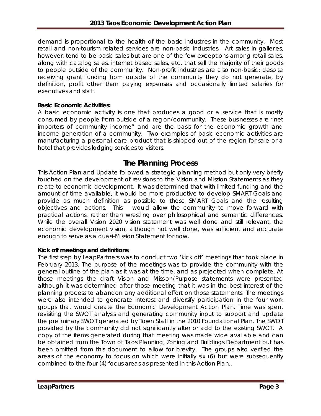demand is proportional to the health of the basic industries in the community. Most retail and non-tourism related services are non-basic industries. Art sales in galleries, however, tend to be basic sales but are one of the few exceptions among retail sales, along with catalog sales, internet based sales, etc. that sell the majority of their goods to people outside of the community. Non-profit industries are also non-basic; despite receiving grant funding from outside of the community they do not generate, by definition, profit other than paying expenses and occasionally limited salaries for executives and staff.

#### *Basic Economic Activities:*

A basic economic activity is one that produces a good or a service that is mostly consumed by people from outside of a region/community. These businesses are "net importers of community income" and are the basis for the economic growth and income generation of a community. Two examples of basic economic activities are manufacturing a personal care product that is shipped out of the region for sale or a hotel that provides lodging services to visitors.

# **The Planning Process**

This Action Plan and Update followed a strategic planning method but only very briefly touched on the development of revisions to the Vision and Mission Statements as they relate to economic development. It was determined that with limited funding and the amount of time available, it would be more productive to develop SMART Goals and provide as much definition as possible to those SMART Goals and the resulting objectives and actions. This would allow the community to move forward with practical actions, rather than wrestling over philosophical and semantic differences. While the overall Vision 2020 vision statement was well done and still relevant, the economic development vision, although not well done, was sufficient and accurate enough to serve as a quasi-Mission Statement for now.

#### **Kick off meetings and definitions**

The first step by LeapPartners was to conduct two 'kick off' meetings that took place in February 2013. The purpose of the meetings was to provide the community with the general outline of the plan as it was at the time, and as projected when complete. At those meetings the draft Vision and Mission/Purpose statements were presented although it was determined after those meeting that it was in the best interest of the planning process to abandon any additional effort on those statements. The meetings were also intended to generate interest and diversify participation in the four work groups that would create the Economic Development Action Plan. Time was spent revisiting the SWOT analysis and generating community input to support and update the preliminary SWOT generated by Town Staff in the 2010 Foundational Plan. The SWOT provided by the community did not significantly alter or add to the existing SWOT. A copy of the items generated during that meeting was made wide available and can be obtained from the Town of Taos Planning, Zoning and Buildings Department but has been omitted from this document to allow for brevity. The groups also verified the areas of the economy to focus on which were initially six (6) but were subsequently combined to the four (4) focus areas as presented in this Action Plan..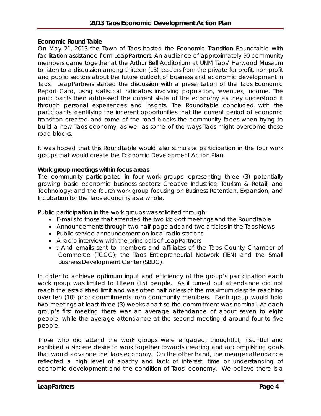#### **Economic Round Table**

On May 21, 2013 the Town of Taos hosted the *Economic Transition Roundtable* with facilitation assistance from LeapPartners. An audience of approximately 90 community members came together at the Arthur Bell Auditorium at UNM Taos' Harwood Museum to listen to a discussion among thirteen (13) leaders from the private for profit, non-profit and public sectors about the future outlook of business and economic development in Taos. LeapPartners started the discussion with a presentation of the Taos Economic Report Card, using statistical indicators involving population, revenues, income. The participants then addressed the current state of the economy as they understood it through personal experiences and insights. The Roundtable concluded with the participants identifying the inherent opportunities that the current period of economic transition created and some of the road-blocks the community faces when trying to build a new Taos economy, as well as some of the ways Taos might overcome those road blocks.

It was hoped that this Roundtable would also stimulate participation in the four work groups that would create the Economic Development Action Plan.

#### **Work group meetings within focus areas**

The community participated in four work groups representing three (3) potentially growing basic economic business sectors: *Creative Industries; Tourism & Retail;* and *Technology;* and the fourth work group focusing on *Business Retention, Expansion, and Incubation* for the Taos economy as a whole*.* 

Public participation in the work groups was solicited through:

- E-mails to those that attended the two kick-off meetings and the Roundtable
- Announcements through *two half-page ads* and two articles in the Taos News
- Public service announcement on local radio stations
- A radio interview with the principals of LeapPartners
- ; And emails sent to members and affiliates of the Taos County Chamber of Commerce (TCCC); the Taos Entrepreneurial Network (TEN) and the Small Business Development Center (SBDC).

In order to achieve optimum input and efficiency of the group's participation each work group was limited to fifteen (15) people. As it turned out attendance did not reach the established limit and was often half or less of the maximum despite reaching over ten (10) prior commitments from community members. Each group would hold two meetings at least three (3) weeks apart so the commitment was nominal. At each group's first meeting there was an average attendance of about seven to eight people, while the average attendance at the second meeting d around four to five people.

Those who did attend the work groups were engaged, thoughtful, insightful and exhibited a sincere desire to work together towards creating and accomplishing goals that would advance the Taos economy. On the other hand, the meager attendance reflected a high level of apathy and lack of interest, time or understanding of economic development and the condition of Taos' economy. We believe there is a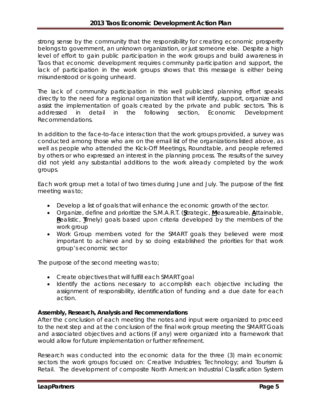strong sense by the community that the responsibility for creating economic prosperity belongs to government, an unknown organization, or just someone else*.* Despite a high level of effort to gain public participation in the work groups and build awareness in Taos that economic development requires community participation and support, the lack of participation in the work groups shows that this message is either being misunderstood or is going unheard.

The lack of community participation in this well publicized planning effort speaks directly to the need for a regional organization that will identify, support, organize and assist the implementation of goals created by the private and public sectors. This is addressed in detail in the following section, *Economic Development Recommendations.*

In addition to the face-to-face interaction that the work groups provided, a survey was conducted among those who are on the email list of the organizations listed above, as well as people who attended the Kick-Off Meetings, Roundtable, and people referred by others or who expressed an interest in the planning process. The results of the survey did not yield any substantial additions to the work already completed by the work groups.

Each work group met a total of two times during June and July. The purpose of the first meeting was to;

- Develop a list of goals that will enhance the economic growth of the sector.
- Organize, define and prioritize the S.M.A.R.T. (**S**trategic, **M**easureable, **A**ttainable, **R**ealistic, **T**imely) goals based upon criteria developed by the members of the work group
- Work Group members voted for the SMART goals they believed were most important to achieve and by so doing established the priorities for that work group's economic sector

The purpose of the second meeting was to;

- Create objectives that will fulfill each SMART goal
- Identify the actions necessary to accomplish each objective including the assignment of responsibility, identification of funding and a due date for each action.

#### **Assembly, Research, Analysis and Recommendations**

After the conclusion of each meeting the notes and input were organized to proceed to the next step and at the conclusion of the final work group meeting the SMART Goals and associated objectives and actions (if any) were organized into a framework that would allow for future implementation or further refinement.

Research was conducted into the economic data for the three (3) main economic sectors the work groups focused on: Creative Industries; Technology; and Tourism & Retail. The development of composite North American Industrial Classification System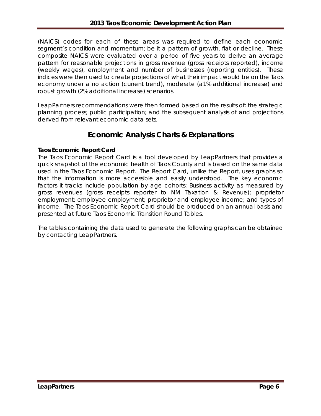(NAICS) codes for each of these areas was required to define each economic segment's condition and momentum; be it a pattern of growth, flat or decline. These composite NAICS were evaluated over a period of five years to derive an average pattern for reasonable projections in gross revenue (gross receipts reported), income (weekly wages), employment and number of businesses (reporting entities). These indices were then used to create projections of what their impact would be on the Taos economy under a no action (current trend), moderate (a1% additional increase) and robust growth (2% additional increase) scenarios.

LeapPartners recommendations were then formed based on the results of: the strategic planning process; public participation; and the subsequent analysis of and projections derived from relevant economic data sets.

# **Economic Analysis Charts & Explanations**

## **Taos Economic Report Card**

The Taos Economic Report Card is a tool developed by LeapPartners that provides a quick snapshot of the economic health of Taos County and is based on the same data used in the Taos Economic Report. The Report Card, unlike the Report, uses graphs so that the information is more accessible and easily understood. The key economic factors it tracks include population by age cohorts; Business activity as measured by gross revenues (gross receipts reporter to NM Taxation & Revenue); proprietor employment; employee employment; proprietor and employee income; and types of income. The Taos Economic Report Card should be produced on an annual basis and presented at future Taos Economic Transition Round Tables.

The tables containing the data used to generate the following graphs can be obtained by contacting LeapPartners.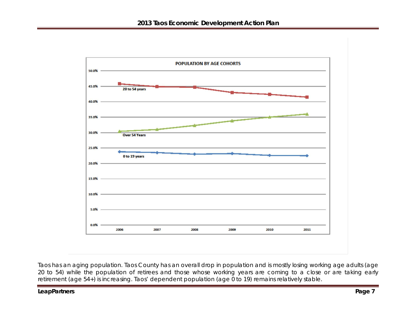

Taos has an aging population. Taos County has an overall drop in population and is mostly losing working age adults (age 20 to 54) while the population of retirees and those whose working years are coming to a close or are taking early retirement (age 54+) is increasing. Taos' dependent population (age 0 to 19) remains relatively stable.

#### **LeapPartners** Page 7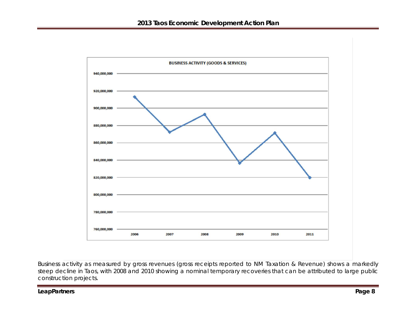

Business activity as measured by gross revenues (gross receipts reported to NM Taxation & Revenue) shows a markedly steep decline in Taos, with 2008 and 2010 showing a nominal temporary recoveries that can be attributed to large public construction projects.

**LeapPartners Page 8**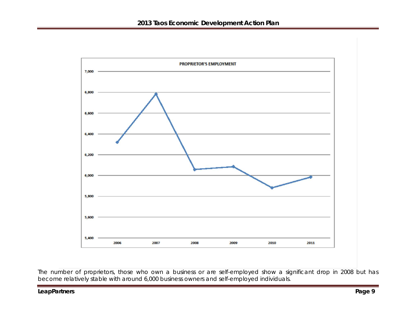

The number of proprietors, those who own a business or are self-employed show a significant drop in 2008 but has become relatively stable with around 6,000 business owners and self-employed individuals.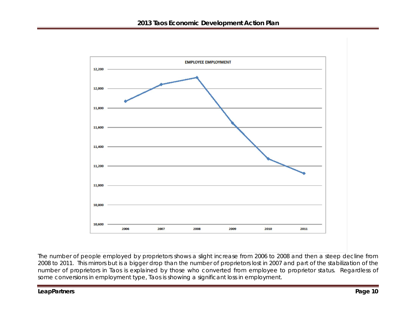

The number of people employed by proprietors shows a slight increase from 2006 to 2008 and then a steep decline from 2008 to 2011. This mirrors but is a bigger drop than the number of proprietors lost in 2007 and part of the stabilization of the number of proprietors in Taos is explained by those who converted from employee to proprietor status. Regardless of some conversions in employment type, Taos is showing a significant loss in employment.

#### **LeapPartners** Page 10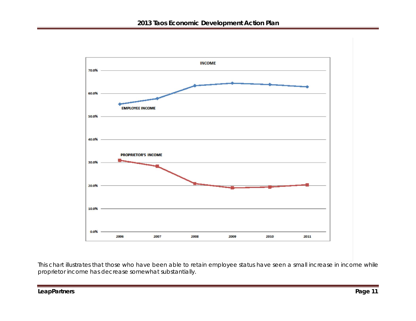

This chart illustrates that those who have been able to retain employee status have seen a small increase in income while proprietor income has decrease somewhat substantially.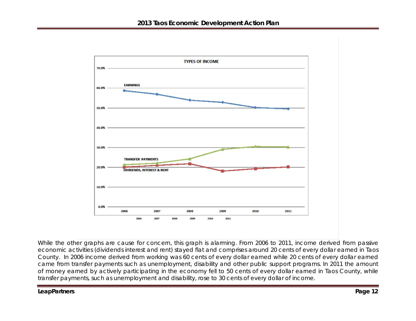

While the other graphs are cause for concern, this graph is alarming. From 2006 to 2011, income derived from passive economic activities (dividends interest and rent) stayed flat and comprises around 20 cents of every dollar earned in Taos County. In 2006 income derived from working was 60 cents of every dollar earned while 20 cents of every dollar earned came from transfer payments such as unemployment, disability and other public support programs. In 2011 the amount of money earned by actively participating in the economy fell to 50 cents of every dollar earned in Taos County, while transfer payments, such as unemployment and disability, rose to 30 cents of every dollar of income.

#### **LeapPartners** Page 12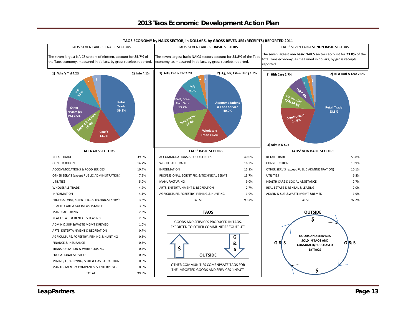#### **2013 Taos Economic Development Action Plan**



**TAOS ECONOMY by NAICS SECTOR, in DOLLARS, by GROSS REVENUES (RECEIPTS) REPORTED 2011**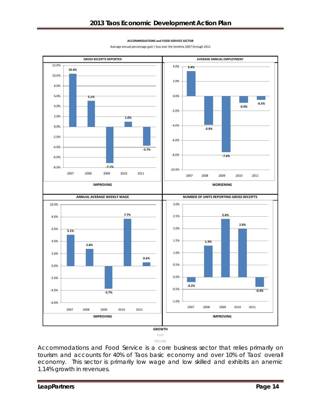#### **ACCOMMODATIONS and FOOD SERVICE SECTOR**

Average annual percentage gain / loss over the timeline 2007 through 2011



**DECLINE**

Accommodations and Food Service is a core business sector that relies primarily on tourism and accounts for 40% of Taos basic economy and over 10% of Taos' overall economy. This sector is primarily low wage and low skilled and exhibits an anemic 1.14% growth in revenues.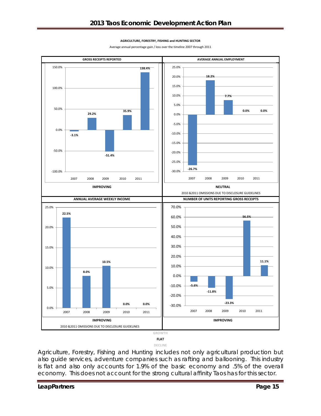#### **AGRICULTURE, FORESTRY, FISHING and HUNTING SECTOR**

Average annual percentage gain / loss over the timeline 2007 through 2011



**DECLINE**

Agriculture, Forestry, Fishing and Hunting includes not only agricultural production but also guide services, adventure companies such as rafting and ballooning. This industry is flat and also only accounts for 1.9% of the basic economy and .5% of the overall economy. This does not account for the strong cultural affinity Taos has for this sector.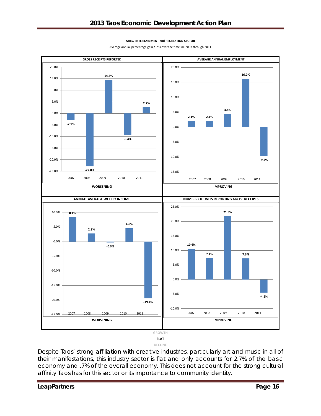#### **ARTS, ENTERTAINMENT and RECREATION SECTOR**

Average annual percentage gain / loss over the timeline 2007 through 2011



**DECLINE**

Despite Taos' strong affiliation with creative industries, particularly art and music in all of their manifestations, this industry sector is flat and only accounts for 2.7% of the basic economy and .7% of the overall economy. This does not account for the strong cultural affinity Taos has for this sector or its importance to community identity.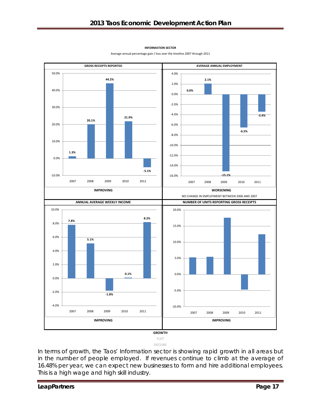#### **INFORMATION SECTOR**



Average annual percentage gain / loss over the timeline 2007 through 2011

In terms of growth, the Taos' Information sector is showing rapid growth in all areas but in the number of people employed. If revenues continue to climb at the average of 16.48% per year, we can expect new businesses to form and hire additional employees. This is a high wage and high skill industry.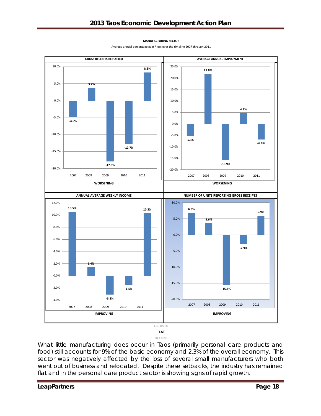

Average annual percentage gain / loss over the timeline 2007 through 2011



**DECLINE**

What little manufacturing does occur in Taos (primarily personal care products and food) still accounts for 9% of the basic economy and 2.3% of the overall economy. This sector was negatively affected by the loss of several small manufacturers who both went out of business and relocated. Despite these setbacks, the industry has remained flat and in the personal care product sector is showing signs of rapid growth.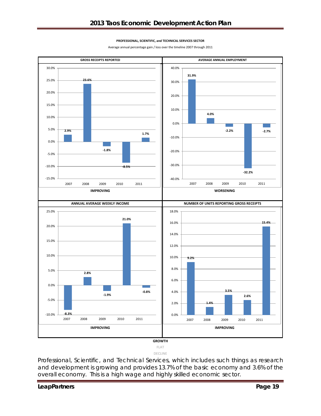#### **PROFESSIONAL, SCIENTIFIC, and TECHNICAL SERVICES SECTOR**

Average annual percentage gain / loss over the timeline 2007 through 2011





**FLAT DECLINE**

Professional, Scientific, and Technical Services, which includes such things as research and development is growing and provides 13.7% of the basic economy and 3.6% of the overall economy. This is a high wage and highly skilled economic sector.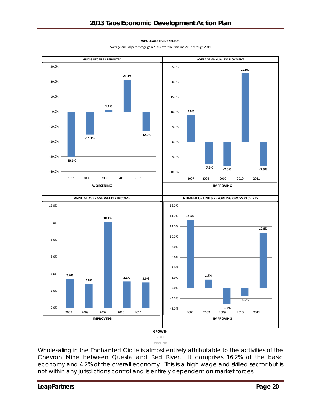#### **WHOLESALE TRADE SECTOR**

Average annual percentage gain / loss over the timeline 2007 through 2011



**DECLINE**

Wholesaling in the Enchanted Circle is almost entirely attributable to the activities of the Chevron Mine between Questa and Red River. It comprises 16.2% of the basic economy and 4.2% of the overall economy. This is a high wage and skilled sector but is not within any jurisdictions control and is entirely dependent on market forces.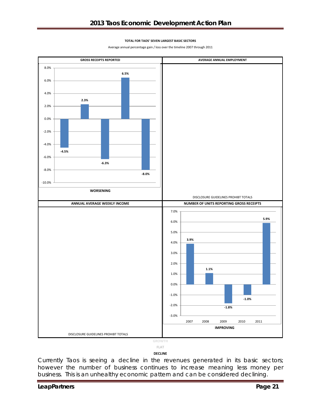#### **TOTAL FOR TAOS' SEVEN LARGEST BASIC SECTORS**

Average annual percentage gain / loss over the timeline 2007 through 2011





#### **DECLINE**

Currently Taos is seeing a decline in the revenues generated in its basic sectors; however the number of business continues to increase meaning less money per business. This is an unhealthy economic pattern and can be considered declining.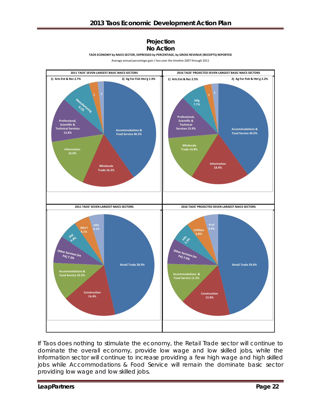#### **Projection No Action**

**TAOS ECONOMY by NAICS SECTOR, EXPRESSED by PERCENTAGE, by GROSS REVENUE (RECEIPTS) REPORTED**

Average annual percentage gain / loss over the timeline 2007 through 2011



If Taos does nothing to stimulate the economy, the Retail Trade sector will continue to dominate the overall economy, provide low wage and low skilled jobs, while the Information sector will continue to increase providing a few high wage and high skilled jobs while Accommodations & Food Service will remain the dominate basic sector providing low wage and low skilled jobs.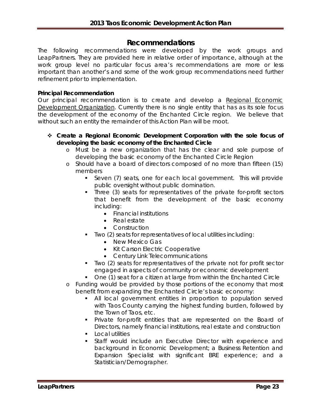# **Recommendations**

The following recommendations were developed by the work groups and LeapPartners. They are provided here in relative order of importance, although at the work group level no particular focus area's recommendations are more or less important than another's and some of the work group recommendations need further refinement prior to implementation.

#### **Principal Recommendation**

Our principal recommendation is to create and develop a *Regional Economic Development Organization*. Currently there is no single entity that has as its sole focus the development of the economy of the Enchanted Circle region. We believe that without such an entity the remainder of this Action Plan will be moot.

- **Create a Regional Economic Development Corporation with the sole focus of developing the basic economy of the Enchanted Circle**
	- o Must be a new organization that has the clear and sole purpose of developing the basic economy of the Enchanted Circle Region
	- o Should have a board of directors composed of no more than fifteen (15) members
		- Seven (7) seats, one for each local government. This will provide public oversight without public domination.
		- Three (3) seats for representatives of the private for-profit sectors that benefit from the development of the basic economy including:
			- Financial institutions
			- Real estate
			- Construction
		- Two (2) seats for representatives of local utilities including:
			- New Mexico Gas
			- Kit Carson Electric Cooperative
			- Century Link Telecommunications
		- Two (2) seats for representatives of the private not for profit sector engaged in aspects of community or economic development
		- One (1) seat for a citizen at large from within the Enchanted Circle
	- o Funding would be provided by those portions of the economy that most benefit from expanding the Enchanted Circle's basic economy:
		- All local government entities in proportion to population served with Taos County carrying the highest funding burden, followed by the Town of Taos, etc.
		- **Private for-profit entities that are represented on the Board of** Directors, namely financial institutions, real estate and construction
		- $\blacksquare$  Local utilities
		- Staff would include an Executive Director with experience and background in Economic Development; a Business Retention and Expansion Specialist with significant BRE experience; and a Statistician/Demographer.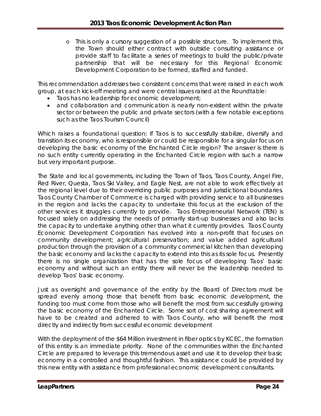o This is only a cursory suggestion of a possible structure. To implement this, the Town should either contract with outside consulting assistance or provide staff to facilitate a series of meetings to build the public/private partnership that will be necessary for this Regional Economic Development Corporation to be formed, staffed and funded.

This recommendation addresses two consistent concerns that were raised in each work group, at each kick-off meeting and were central issues raised at the Roundtable:

- Taos has no leadership for economic development;
- and collaboration and communication is nearly non-existent within the private sector or between the public and private sectors (with a few notable exceptions such as the Taos Tourism Council)

Which raises a foundational question: If Taos is to successfully stabilize, diversify and transition its economy, who is responsible or could be responsible for a singular focus on developing the basic economy of the Enchanted Circle region? The answer is there is no such entity currently operating in the Enchanted Circle region with such a narrow but very important purpose.

The State and local governments, including the Town of Taos, Taos County, Angel Fire, Red River, Questa, Taos Ski Valley, and Eagle Nest, are not able to work effectively at the regional level due to their overriding public purposes and jurisdictional boundaries. Taos County Chamber of Commerce is charged with providing service to all businesses in the region and lacks the capacity to undertake this focus at the exclusion of the other services it struggles currently to provide. Taos Entrepreneurial Network (TEN) is focused solely on addressing the needs of primarily start-up businesses and also lacks the capacity to undertake anything other than what it currently provides. Taos County Economic Development Corporation has evolved into a non-profit that focuses on community development; agricultural preservation; and value added agricultural production through the provision of a community commercial kitchen than developing the basic economy and lacks the capacity to extend into this as its sole focus. Presently there is no single organization that has the sole focus of developing Taos' basic economy and without such an entity there will never be the leadership needed to develop Taos' basic economy.

Just as oversight and governance of the entity by the Board of Directors must be spread evenly among those that benefit from basic economic development, the funding too must come from those who will benefit the most from successfully growing the basic economy of the Enchanted Circle. Some sort of cost sharing agreement will have to be created and adhered to with Taos County, who will benefit the most directly and indirectly from successful economic development

With the deployment of the \$64 Million investment in fiber optics by KCEC, the formation of this entity is an immediate priority. None of the communities within the Enchanted Circle are prepared to leverage this tremendous asset and use it to develop their basic economy in a controlled and thoughtful fashion. This assistance could be provided by this new entity with assistance from professional economic development consultants.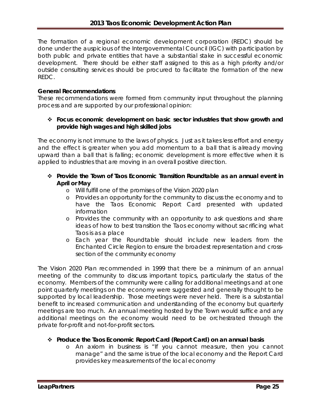The formation of a regional economic development corporation (REDC) should be done under the auspicious of the Intergovernmental Council (IGC) with participation by both public and private entities that have a substantial stake in successful economic development. There should be either staff assigned to this as a high priority and/or outside consulting services should be procured to facilitate the formation of the new REDC.

#### **General Recommendations**

These recommendations were formed from community input throughout the planning process and are supported by our professional opinion:

#### **Focus economic development on basic sector industries that show growth and provide high wages and high skilled jobs**

The economy is not immune to the laws of physics. Just as it takes less effort and energy and the effect is greater when you add momentum to a ball that is already moving upward than a ball that is falling; economic development is more effective when it is applied to industries that are moving in an overall positive direction.

- **Provide the** *Town of Taos Economic Transition Roundtable* **as an annual event in April or May**
	- o Will fulfill one of the promises of the Vision 2020 plan
	- o Provides an opportunity for the community to discuss the economy and to have the Taos Economic Report Card presented with updated information
	- o Provides the community with an opportunity to ask questions and share ideas of how to best transition the Taos economy without sacrificing what Taos is as a place
	- o Each year the Roundtable should include new leaders from the Enchanted Circle Region to ensure the broadest representation and crosssection of the community economy

The Vision 2020 Plan recommended in 1999 that there be a minimum of an annual meeting of the community to discuss important topics, particularly the status of the economy. Members of the community were calling for additional meetings and at one point quarterly meetings on the economy were suggested and generally thought to be supported by local leadership. Those meetings were never held. There is a substantial benefit to increased communication and understanding of the economy but quarterly meetings are too much. An annual meeting hosted by the Town would suffice and any additional meetings on the economy would need to be orchestrated through the private for-profit and not-for-profit sectors.

#### **Produce the Taos Economic Report Card (Report Card) on an annual basis**

o An axiom in business is "If you cannot measure, then you cannot manage" and the same is true of the local economy and the Report Card provides key measurements of the local economy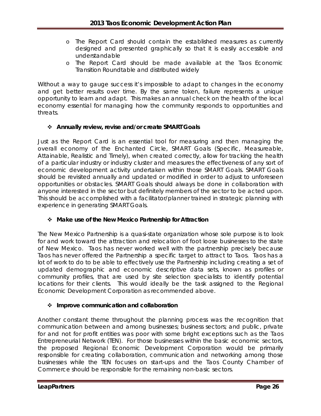- o The Report Card should contain the established measures as currently designed and presented graphically so that it is easily accessible and understandable
- o The Report Card should be made available at the Taos Economic Transition Roundtable and distributed widely

Without a way to gauge success it's impossible to adapt to changes in the economy and get better results over time. By the same token, failure represents a unique opportunity to learn and adapt. This makes an annual check on the health of the local economy essential for managing how the community responds to opportunities and threats.

#### **Annually review, revise and/or create SMART Goals**

Just as the Report Card is an essential tool for measuring and then managing the overall economy of the Enchanted Circle, SMART Goals (Specific, Measureable, Attainable, Realistic and Timely), when created correctly, allow for tracking the health of a particular industry or industry cluster and measures the effectiveness of any sort of economic development activity undertaken within those SMART Goals. SMART Goals should be revisited annually and updated or modified in order to adjust to unforeseen opportunities or obstacles. SMART Goals should always be done in collaboration with anyone interested in the sector but definitely members of the sector to be acted upon. This should be accomplished with a facilitator/planner trained in strategic planning with experience in generating SMART Goals.

#### **Make use of the New Mexico Partnership for Attraction**

The New Mexico Partnership is a quasi-state organization whose sole purpose is to look for and work toward the attraction and relocation of foot loose businesses to the state of New Mexico. Taos has never worked well with the partnership precisely because Taos has never offered the Partnership a specific target to attract to Taos. Taos has a lot of work to do to be able to effectively use the Partnership including creating a set of updated demographic and economic descriptive data sets, known as profiles or community profiles, that are used by site selection specialists to identify potential locations for their clients. This would ideally be the task assigned to the Regional Economic Development Corporation as recommended above.

#### **Improve communication and collaboration**

Another constant theme throughout the planning process was the recognition that communication between and among businesses; business sectors; and public, private for and not for profit entities was poor with some bright exceptions such as the Taos Entrepreneurial Network (TEN). For those businesses within the basic economic sectors, the proposed Regional Economic Development Corporation would be primarily responsible for creating collaboration, communication and networking among those businesses while the TEN focuses on start-ups and the Taos County Chamber of Commerce should be responsible for the remaining non-basic sectors.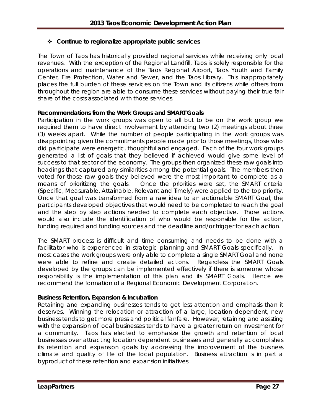## **Continue to regionalize appropriate public services**

The Town of Taos has historically provided regional services while receiving only local revenues. With the exception of the Regional Landfill, Taos is solely responsible for the operations and maintenance of the Taos Regional Airport, Taos Youth and Family Center, Fire Protection, Water and Sewer, and the Taos Library. This inappropriately places the full burden of these services on the Town and its citizens while others from throughout the region are able to consume these services without paying their true fair share of the costs associated with those services.

#### **Recommendations from the Work Groups and SMART Goals**

Participation in the work groups was open to all but to be on the work group we required them to have direct involvement by attending two (2) meetings about three (3) weeks apart. While the number of people participating in the work groups was disappointing given the commitments people made prior to those meetings, those who did participate were energetic, thoughtful and engaged. Each of the four work groups generated a list of goals that they believed if achieved would give some level of success to that sector of the economy. The groups then organized these raw goals into headings that captured any similarities among the potential goals. The members then voted for those raw goals they believed were the most important to complete as a means of prioritizing the goals. Once the priorities were set, the SMART criteria (Specific, Measurable, Attainable, Relevant and Timely) were applied to the top priority. Once that goal was transformed from a raw idea to an actionable SMART Goal, the participants developed objectives that would need to be completed to reach the goal and the step by step actions needed to complete each objective. Those actions would also include the identification of who would be responsible for the action, funding required and funding sources and the deadline and/or trigger for each action.

The SMART process is difficult and time consuming and needs to be done with a facilitator who is experienced in strategic planning and SMART Goals specifically. In most cases the work groups were only able to complete a single SMART Goal and none were able to refine and create detailed actions. Regardless the SMART Goals developed by the groups can be implemented effectively if there is someone whose responsibility is the implementation of this plan and its SMART Goals. Hence we recommend the formation of a Regional Economic Development Corporation.

#### **Business Retention, Expansion & Incubation**

Retaining and expanding businesses tends to get less attention and emphasis than it deserves. Winning the relocation or attraction of a large, location dependent, new business tends to get more press and political fanfare. However, retaining and assisting with the expansion of local businesses tends to have a greater return on investment for a community. Taos has elected to emphasize the growth and retention of local businesses over attracting location dependent businesses and generally accomplishes its retention and expansion goals by addressing the improvement of the business climate and quality of life of the local population. Business attraction is in part a byproduct of these retention and expansion initiatives.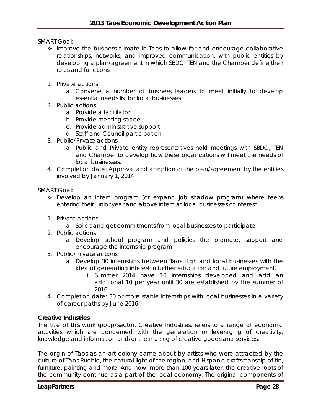SMART Goal:

- Improve the business climate in Taos to allow for and encourage collaborative relationships, networks, and improved communication, with public entities by developing a plan/agreement in which SBDC, TEN and the Chamber define their roles and functions.
- 1. Private actions
	- a. Convene a number of business leaders to meet initially to develop essential needs list for local businesses
- 2. Public actions
	- a. Provide a facilitator
	- b. Provide meeting space
	- c. Provide administrative support
	- d. Staff and Council participation
- 3. Public/Private actions
	- a. Public and Private entity representatives hold meetings with SBDC, TEN and Chamber to develop how these organizations will meet the needs of local businesses.
- 4. Completion date: Approval and adoption of the plan/agreement by the entities involved by January 1, 2014

SMART Goal:

- \* Develop an intern program (or expand job shadow program) where teens entering their junior year and above intern at local businesses of interest.
- 1. Private actions
	- a. Solicit and get commitments from local businesses to participate
- 2. Public actions
	- a. Develop school program and policies the promote, support and encourage the internship program
- 3. Public/Private actions
	- a. Develop 30 internships between Taos High and local businesses with the idea of generating interest in further education and future employment.
		- i. Summer 2014 have 10 internships developed and add an additional 10 per year until 30 are established by the summer of 2016.
- 4. Completion date: 30 or more stable internships with local businesses in a variety of career paths by June 2016

#### **Creative Industries**

The title of this work group/sector, Creative Industries, refers to a range of economic activities which are concerned with the generation or leveraging of creativity, knowledge and information and/or the making of creative goods and services.

The origin of Taos as an art colony came about by artists who were attracted by the culture of Taos Pueblo, the natural light of the region, and Hispanic craftsmanship of tin, furniture, painting and more. And now, more than 100 years later, the creative roots of the community continue as a part of the local economy. The original components of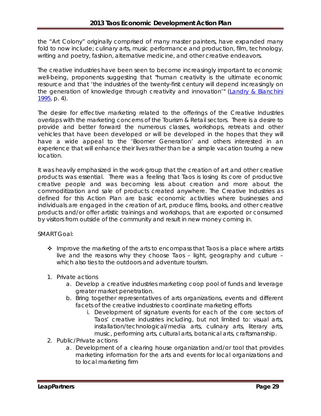the "Art Colony" originally comprised of many master painters, have expanded many fold to now include; culinary arts, music performance and production, film, technology, writing and poetry, fashion, alternative medicine, and other creative endeavors.

The creative industries have been seen to become increasingly important to economic well-being, proponents suggesting that "human creativity is the ultimate economic resource and that 'the industries of the twenty-first century will depend increasingly on the generation of knowledge through creativity and innovation'" [\(Landry & Bianchini](http://en.wikipedia.org/wiki/Creative_industries%23CITEREFLandryBianchini1995)  [1995,](http://en.wikipedia.org/wiki/Creative_industries%23CITEREFLandryBianchini1995) p. 4).

The desire for effective marketing related to the offerings of the Creative Industries overlaps with the marketing concerns of the Tourism & Retail sectors. There is a desire to provide and better forward the numerous classes, workshops, retreats and other vehicles that have been developed or will be developed in the hopes that they will have a wide appeal to the 'Boomer Generation' and others interested in an experience that will enhance their lives rather than be a simple vacation touring a new location.

It was heavily emphasized in the work group that the creation of art and other creative products was essential. There was a feeling that Taos is losing its core of productive creative people and was becoming less about creation and more about the commoditization and sale of products created anywhere. The Creative Industries as defined for this Action Plan are basic economic activities where businesses and individuals are engaged in the creation of art, produce films, books, and other creative products and/or offer artistic trainings and workshops, that are exported or consumed by visitors from outside of the community and result in new money coming in.

SMART Goal:

- $\cdot$  Improve the marketing of the arts to encompass that Taos is a place where artists live and the reasons why they choose Taos – light, geography and culture – which also ties to the outdoors and adventure tourism.
- 1. Private actions
	- a. Develop a creative industries marketing coop pool of funds and leverage greater market penetration.
	- b. Bring together representatives of arts organizations, events and different facets of the creative industries to coordinate marketing efforts
		- i. Development of signature events for each of the core sectors of Taos' creative industries including, but not limited to: visual arts, installation/technological/media arts, culinary arts, literary arts, music, performing arts, cultural arts, botanical arts, craftsmanship.
- 2. Public/Private actions
	- a. Development of a clearing house organization and/or tool that provides marketing information for the arts and events for local organizations and to local marketing firm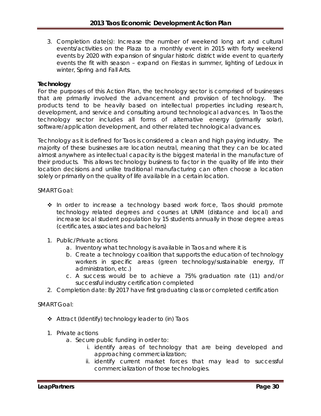3. Completion date(s): Increase the number of weekend long art and cultural events/activities on the Plaza to a monthly event in 2015 with forty weekend events by 2020 with expansion of singular historic district wide event to quarterly events the fit with season – expand on Fiestas in summer, lighting of Ledoux in winter, Spring and Fall Arts.

#### **Technology**

For the purposes of this Action Plan, the technology sector is comprised of businesses that are primarily involved the advancement and provision of technology. products tend to be heavily based on intellectual properties including research, development, and service and consulting around technological advances. In Taos the technology sector includes all forms of alternative energy (primarily solar), software/application development, and other related technological advances.

Technology as it is defined for Taos is considered a clean and high paying industry. The majority of these businesses are location neutral, meaning that they can be located almost anywhere as intellectual capacity is the biggest material in the manufacture of their products. This allows technology business to factor in the quality of life into their location decisions and unlike traditional manufacturing can often choose a location solely or primarily on the quality of life available in a certain location.

SMART Goal:

- In order to increase a technology based work force, Taos should promote technology related degrees and courses at UNM (distance and local) and increase local student population by 15 students annually in those degree areas (certificates, associates and bachelors)
- 1. Public/Private actions
	- a. Inventory what technology is available in Taos and where it is
	- b. Create a technology coalition that supports the education of technology workers in specific areas (green technology/sustainable energy, IT administration, etc.)
	- c. A success would be to achieve a 75% graduation rate (11) and/or successful industry certification completed
- 2. Completion date: By 2017 have first graduating class or completed certification

SMART Goal:

- Attract (Identify) technology leader to (in) Taos
- 1. Private actions
	- a. Secure public funding in order to:
		- i. identify areas of technology that are being developed and approaching commercialization;
		- ii. identify current market forces that may lead to successful commercialization of those technologies.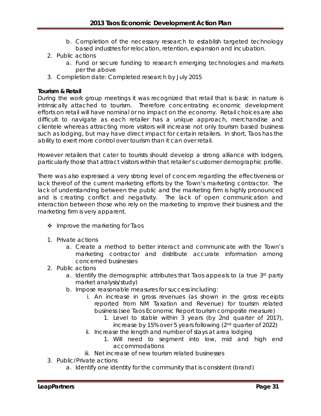- b. Completion of the necessary research to establish targeted technology based industries for relocation, retention, expansion and incubation.
- 2. Public actions
	- a. Fund or secure funding to research emerging technologies and markets per the above
- 3. Completion date: Completed research by July 2015

#### **Tourism & Retail**

During the work group meetings it was recognized that retail that is basic in nature is intrinsically attached to tourism. Therefore concentrating economic development efforts on retail will have nominal or no impact on the economy. Retail choices are also difficult to navigate as each retailer has a unique approach, merchandise and clientele whereas attracting more visitors will increase not only tourism based business such as lodging, but may have direct impact for certain retailers. In short, Taos has the ability to exert more control over tourism than it can over retail.

However retailers that cater to tourists should develop a strong alliance with lodgers, particularly those that attract visitors within that retailer's customer demographic profile.

There was also expressed a very strong level of concern regarding the effectiveness or lack thereof of the current marketing efforts by the Town's marketing contractor. The lack of understanding between the public and the marketing firm is highly pronounced and is creating conflict and negativity. The lack of open communication and interaction between those who rely on the marketing to improve their business and the marketing firm is very apparent.

- $\div$  Improve the marketing for Taos
- 1. Private actions
	- a. Create a method to better interact and communicate with the Town's marketing contractor and distribute accurate information among concerned businesses
- 2. Public actions
	- a. Identify the demographic attributes that Taos appeals to (a true 3rd party market analysis/study)
	- b. Impose reasonable measures for success including:
		- i. An increase in gross revenues (as shown in the gross receipts reported from NM Taxation and Revenue) for tourism related business (see Taos Economic Report tourism composite measure)
			- 1. Level to stable within 3 years (by 2nd quarter of 2017),
				- increase by 15% over 5 years following (2nd quarter of 2022)
		- ii. Increase the length and number of stays at area lodging
			- 1. Will need to segment into low, mid and high end accommodations
		- iii. Net increase of new tourism related businesses
- 3. Public/Private actions
	- a. Identify one identity for the community that is consistent (brand)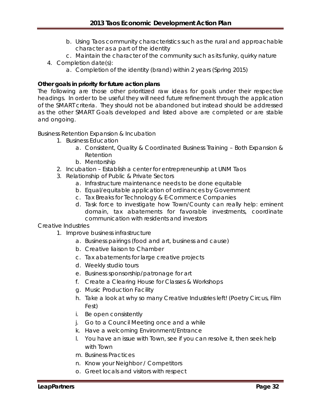- b. Using Taos community characteristics such as the rural and approachable character as a part of the identity
- c. Maintain the character of the community such as its funky, quirky nature
- 4. Completion date(s):
	- a. Completion of the identity (brand) within 2 years (Spring 2015)

#### **Other goals in priority for future action plans**

The following are those other prioritized raw ideas for goals under their respective headings. In order to be useful they will need future refinement through the application of the SMART criteria. They should not be abandoned but instead should be addressed as the other SMART Goals developed and listed above are completed or are stable and ongoing.

#### Business Retention Expansion & Incubation

- 1. Business Education
	- a. Consistent, Quality & Coordinated Business Training Both Expansion & Retention
	- b. Mentorship
- 2. Incubation Establish a center for entrepreneurship at UNM Taos
- 3. Relationship of Public & Private Sectors
	- a. Infrastructure maintenance needs to be done equitable
	- b. Equal/equitable application of ordinances by Government
	- c. Tax Breaks for Technology & E-Commerce Companies
	- d. Task force to investigate how Town/County can really help: eminent domain, tax abatements for favorable investments, coordinate communication with residents and investors

#### Creative Industries

- 1. Improve business infrastructure
	- a. Business pairings (food and art, business and cause)
	- b. Creative liaison to Chamber
	- c. Tax abatements for large creative projects
	- d. Weekly studio tours
	- e. Business sponsorship/patronage for art
	- f. Create a Clearing House for Classes & Workshops
	- g. Music Production Facility
	- h. Take a look at why so many Creative Industries left! (Poetry Circus, Film Fest)
	- i. Be open consistently
	- j. Go to a Council Meeting once and a while
	- k. Have a welcoming Environment/Entrance
	- l. You have an issue with Town, see if you can resolve it, then seek help with Town
	- m. Business Practices
	- n. Know your Neighbor / Competitors
	- o. Greet locals and visitors with respect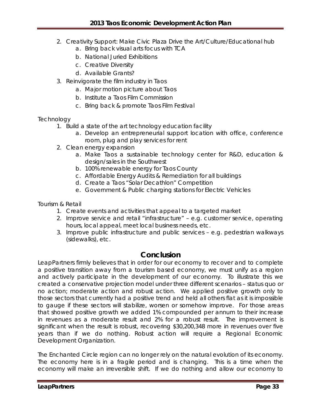- 2. Creativity Support: Make Civic Plaza Drive the Art/Culture/Educational hub
	- a. Bring back visual arts focus with TCA
	- b. National Juried Exhibitions
	- c. Creative Diversity
	- d. Available Grants?
- 3. Reinvigorate the film industry in Taos
	- a. Major motion picture about Taos
	- b. Institute a Taos Film Commission
	- c. Bring back & promote Taos Film Festival

## **Technology**

- 1. Build a state of the art technology education facility
	- a. Develop an entrepreneurial support location with office, conference room, plug and play services for rent
- 2. Clean energy expansion
	- a. Make Taos a sustainable technology center for R&D, education & design/sales in the Southwest
	- b. 100% renewable energy for Taos County
	- c. Affordable Energy Audits & Remediation for all buildings
	- d. Create a Taos "Solar Decathlon" Competition
	- e. Government & Public charging stations for Electric Vehicles

Tourism & Retail

- 1. Create events and activities that appeal to a targeted market
- 2. Improve service and retail "infrastructure" e.g. customer service, operating hours, local appeal, meet local business needs, etc.
- 3. Improve public infrastructure and public services e.g. pedestrian walkways (sidewalks), etc.

# **Conclusion**

LeapPartners firmly believes that in order for our economy to recover and to complete a positive transition away from a tourism based economy, we must unify as a region and actively participate in the development of our economy. To illustrate this we created a conservative projection model under three different scenarios – status quo or no action; moderate action and robust action. We applied positive growth only to those sectors that currently had a positive trend and held all others flat as it is impossible to gauge if these sectors will stabilize, worsen or somehow improve. For those areas that showed positive growth we added 1% compounded per annum to their increase in revenues as a moderate result and 2% for a robust result. The improvement is significant when the result is robust, recovering \$30,200,348 more in revenues over five years than if we do nothing. Robust action will require a Regional Economic Development Organization.

The Enchanted Circle region can no longer rely on the natural evolution of its economy. The economy here is in a fragile period and is changing. This is a time when the economy will make an irreversible shift. If we do nothing and allow our economy to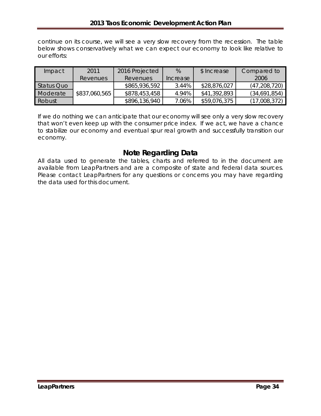continue on its course, we will see a very slow recovery from the recession. The table below shows conservatively what we can expect our economy to look like relative to our efforts:

| Impact     | 2011            | 2016 Projected  | $\%$     | \$ Increase  | Compared to    |
|------------|-----------------|-----------------|----------|--------------|----------------|
|            | <b>Revenues</b> | <b>Revenues</b> | Increase |              | 2006           |
| Status Quo |                 | \$865,936,592   | 3.44%    | \$28,876,027 | (47, 208, 720) |
| Moderate   | \$837,060,565   | \$878,453,458   | 4.94%    | \$41,392,893 | (34,691,854)   |
| Robust     |                 | \$896,136,940   | 7.06%    | \$59,076,375 | (17,008,372)   |

If we do nothing we can anticipate that our economy will see only a very slow recovery that won't even keep up with the consumer price index. If we act, we have a chance to stabilize our economy and eventual spur real growth and successfully transition our economy.

# **Note Regarding Data**

All data used to generate the tables, charts and referred to in the document are available from LeapPartners and are a composite of state and federal data sources. Please contact LeapPartners for any questions or concerns you may have regarding the data used for this document.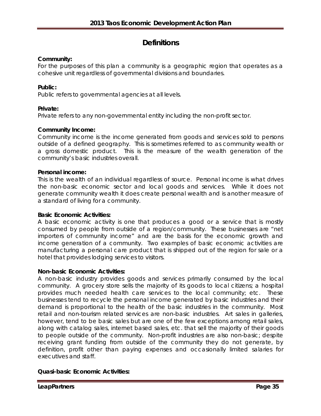# **Definitions**

#### **Community:**

For the purposes of this plan a community is a geographic region that operates as a cohesive unit regardless of governmental divisions and boundaries.

#### **Public:**

Public refers to governmental agencies at all levels.

#### **Private:**

Private refers to any non-governmental entity including the non-profit sector.

#### **Community Income:**

Community income is the income generated from goods and services sold to persons outside of a defined geography. This is sometimes referred to as community wealth or a gross domestic product. This is the measure of the wealth generation of the community's basic industries overall.

#### **Personal income:**

This is the wealth of an individual regardless of source. Personal income is what drives the non-basic economic sector and local goods and services. While it does not generate community wealth it does create personal wealth and is another measure of a standard of living for a community.

#### **Basic Economic Activities:**

A basic economic activity is one that produces a good or a service that is mostly consumed by people from outside of a region/community. These businesses are "net importers of community income" and are the basis for the economic growth and income generation of a community. Two examples of basic economic activities are manufacturing a personal care product that is shipped out of the region for sale or a hotel that provides lodging services to visitors.

#### **Non-basic Economic Activities:**

A non-basic industry provides goods and services primarily consumed by the local community. A grocery store sells the majority of its goods to local citizens; a hospital provides much needed health care services to the local community; etc. These businesses tend to recycle the personal income generated by basic industries and their demand is proportional to the health of the basic industries in the community. Most retail and non-tourism related services are non-basic industries. Art sales in galleries, however, tend to be basic sales but are one of the few exceptions among retail sales, along with catalog sales, internet based sales, etc. that sell the majority of their goods to people outside of the community. Non-profit industries are also non-basic; despite receiving grant funding from outside of the community they do not generate, by definition, profit other than paying expenses and occasionally limited salaries for executives and staff.

#### **Quasi-basic Economic Activities:**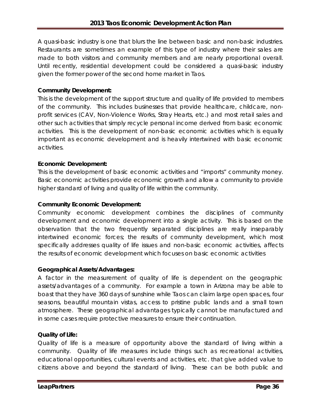A quasi-basic industry is one that blurs the line between basic and non-basic industries. Restaurants are sometimes an example of this type of industry where their sales are made to both visitors and community members and are nearly proportional overall. Until recently, residential development could be considered a quasi-basic industry given the former power of the second home market in Taos.

## **Community Development:**

This is the development of the support structure and quality of life provided to members of the community. This includes businesses that provide healthcare, childcare, nonprofit services (CAV, Non-Violence Works, Stray Hearts, etc.) and most retail sales and other such activities that simply recycle personal income derived from basic economic activities. This is the development of non-basic economic activities which is equally important as economic development and is heavily intertwined with basic economic activities.

## **Economic Development:**

This is the development of basic economic activities and "imports" community money. Basic economic activities provide economic growth and allow a community to provide higher standard of living and quality of life within the community.

## **Community Economic Development:**

Community economic development combines the disciplines of community development and economic development into a single activity. This is based on the observation that the two frequently separated disciplines are really inseparably intertwined economic forces; the results of community development, which most specifically addresses quality of life issues and non-basic economic activities, affects the results of economic development which focuses on basic economic activities

#### **Geographical Assets/Advantages:**

A factor in the measurement of quality of life is dependent on the geographic assets/advantages of a community. For example a town in Arizona may be able to boast that they have 360 days of sunshine while Taos can claim large open spaces, four seasons, beautiful mountain vistas, access to pristine public lands and a small town atmosphere. These geographical advantages typically cannot be manufactured and in some cases require protective measures to ensure their continuation.

#### **Quality of Life:**

Quality of life is a measure of opportunity above the standard of living within a community. Quality of life measures include things such as recreational activities, educational opportunities, cultural events and activities, etc. that give added value to citizens above and beyond the standard of living. These can be both public and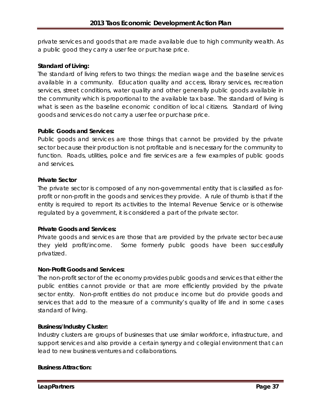private services and goods that are made available due to high community wealth. As a public good they carry a user fee or purchase price.

#### **Standard of Living:**

The standard of living refers to two things: the median wage and the baseline services available in a community. Education quality and access, library services, recreation services, street conditions, water quality and other generally public goods available in the community which is proportional to the available tax base. The standard of living is what is seen as the baseline economic condition of local citizens. Standard of living goods and services do not carry a user fee or purchase price.

#### **Public Goods and Services:**

Public goods and services are those things that cannot be provided by the private sector because their production is not profitable and is necessary for the community to function. Roads, utilities, police and fire services are a few examples of public goods and services.

#### **Private Sector**

The private sector is composed of any non-governmental entity that is classified as forprofit or non-profit in the goods and services they provide. A rule of thumb is that if the entity is required to report its activities to the Internal Revenue Service or is otherwise regulated by a government, it is considered a part of the private sector.

#### **Private Goods and Services:**

Private goods and services are those that are provided by the private sector because they yield profit/income. Some formerly public goods have been successfully privatized.

#### **Non-Profit Goods and Services:**

The non-profit sector of the economy provides public goods and services that either the public entities cannot provide or that are more efficiently provided by the private sector entity. Non-profit entities do not produce income but do provide goods and services that add to the measure of a community's quality of life and in some cases standard of living.

#### **Business/Industry Cluster:**

Industry clusters are groups of businesses that use similar workforce, infrastructure, and support services and also provide a certain synergy and collegial environment that can lead to new business ventures and collaborations.

#### **Business Attraction:**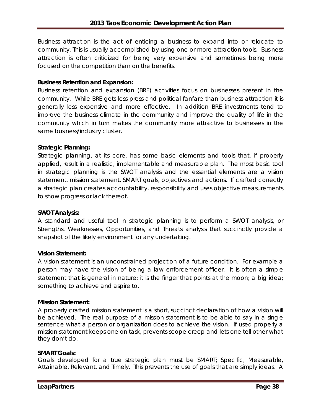Business attraction is the act of enticing a business to expand into or relocate to community. This is usually accomplished by using one or more attraction tools. Business attraction is often criticized for being very expensive and sometimes being more focused on the competition than on the benefits.

#### **Business Retention and Expansion:**

Business retention and expansion (BRE) activities focus on businesses present in the community. While BRE gets less press and political fanfare than business attraction it is generally less expensive and more effective. In addition BRE investments tend to improve the business climate in the community and improve the quality of life in the community which in turn makes the community more attractive to businesses in the same business/industry cluster.

#### **Strategic Planning:**

Strategic planning, at its core, has some basic elements and tools that, if properly applied, result in a realistic, implementable and measurable plan. The most basic tool in strategic planning is the SWOT analysis and the essential elements are a vision statement, mission statement, SMART goals, objectives and actions. If crafted correctly a strategic plan creates accountability, responsibility and uses objective measurements to show progress or lack thereof.

#### **SWOT Analysis:**

A standard and useful tool in strategic planning is to perform a SWOT analysis, or Strengths, Weaknesses, Opportunities, and Threats analysis that succinctly provide a snapshot of the likely environment for any undertaking.

#### **Vision Statement:**

A vision statement is an unconstrained projection of a future condition. For example a person may have the vision of being a law enforcement officer. It is often a simple statement that is general in nature; it is the finger that points at the moon; a big idea; something to achieve and aspire to.

#### **Mission Statement:**

A properly crafted mission statement is a short, succinct declaration of how a vision will be achieved. The real purpose of a mission statement is to be able to say in a single sentence what a person or organization does to achieve the vision. If used properly a mission statement keeps one on task, prevents scope creep and lets one tell other what they don't do.

#### **SMART Goals:**

Goals developed for a true strategic plan must be SMART; Specific, Measurable, Attainable, Relevant, and Timely. This prevents the use of goals that are simply ideas. A